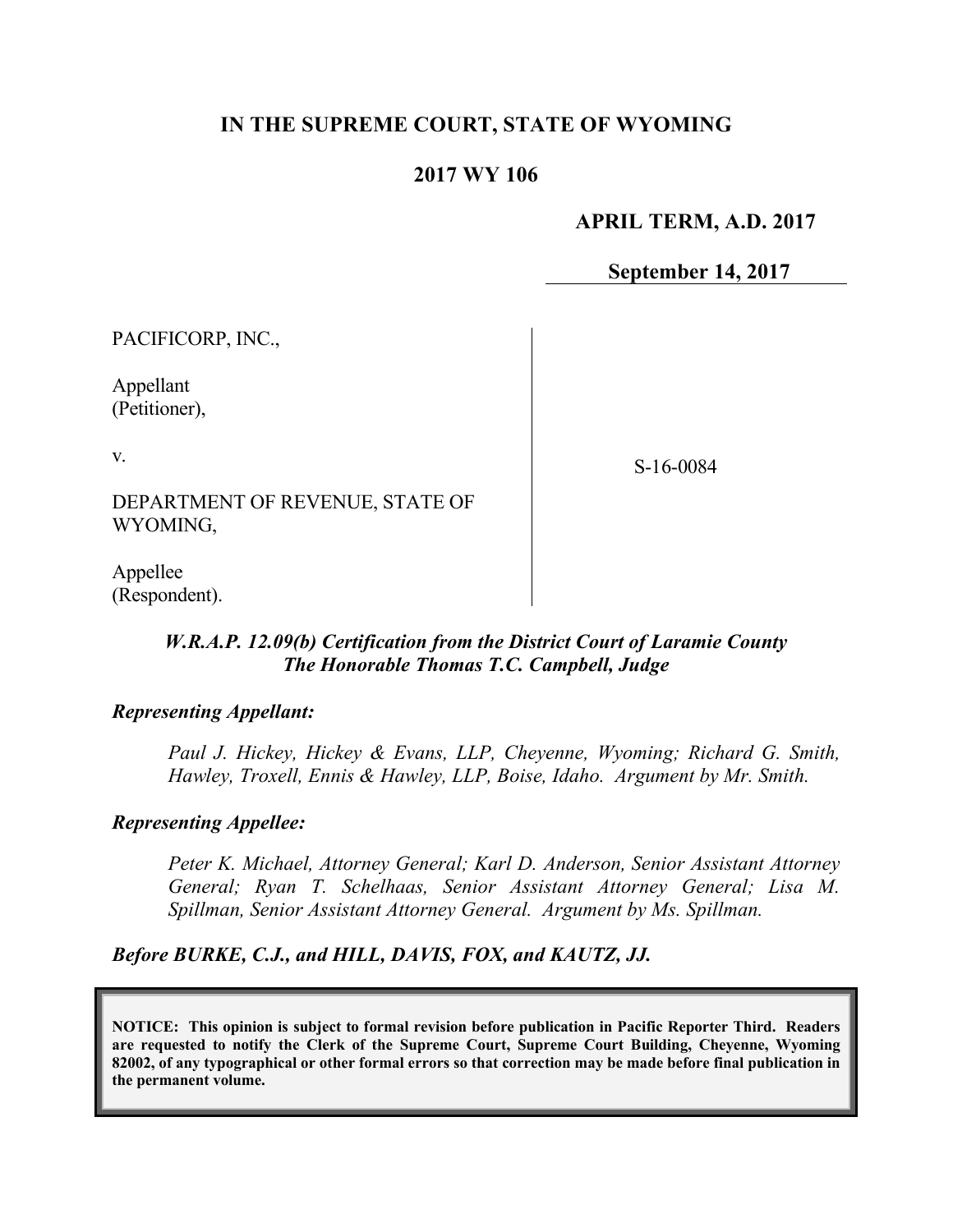# **IN THE SUPREME COURT, STATE OF WYOMING**

## **2017 WY 106**

### **APRIL TERM, A.D. 2017**

**September 14, 2017**

PACIFICORP, INC.,

Appellant (Petitioner),

v.

S-16-0084

DEPARTMENT OF REVENUE, STATE OF WYOMING,

Appellee (Respondent).

## *W.R.A.P. 12.09(b) Certification from the District Court of Laramie County The Honorable Thomas T.C. Campbell, Judge*

#### *Representing Appellant:*

*Paul J. Hickey, Hickey & Evans, LLP, Cheyenne, Wyoming; Richard G. Smith, Hawley, Troxell, Ennis & Hawley, LLP, Boise, Idaho. Argument by Mr. Smith.*

#### *Representing Appellee:*

*Peter K. Michael, Attorney General; Karl D. Anderson, Senior Assistant Attorney General; Ryan T. Schelhaas, Senior Assistant Attorney General; Lisa M. Spillman, Senior Assistant Attorney General. Argument by Ms. Spillman.*

#### *Before BURKE, C.J., and HILL, DAVIS, FOX, and KAUTZ, JJ.*

**NOTICE: This opinion is subject to formal revision before publication in Pacific Reporter Third. Readers are requested to notify the Clerk of the Supreme Court, Supreme Court Building, Cheyenne, Wyoming 82002, of any typographical or other formal errors so that correction may be made before final publication in the permanent volume.**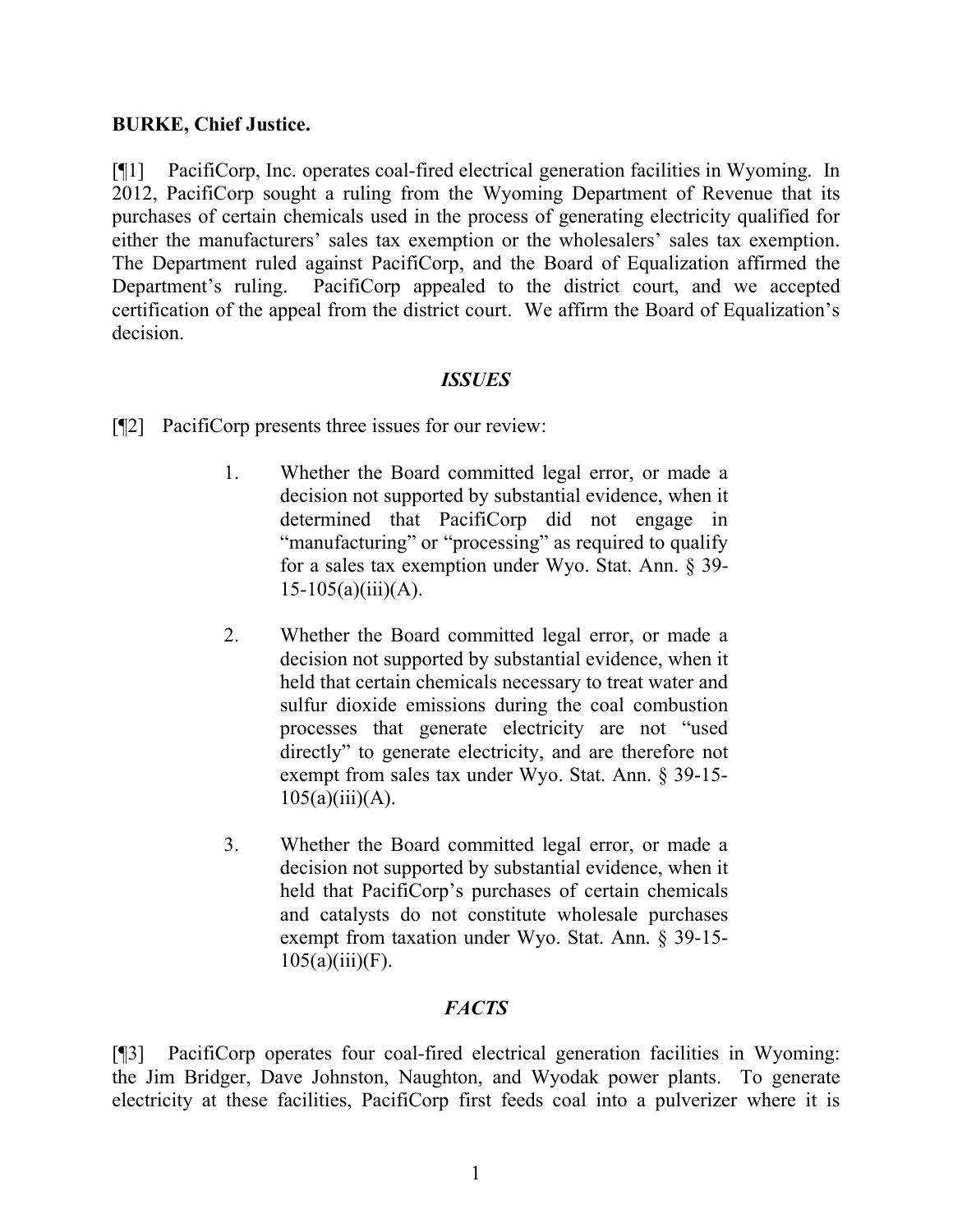## **BURKE, Chief Justice.**

[¶1] PacifiCorp, Inc. operates coal-fired electrical generation facilities in Wyoming. In 2012, PacifiCorp sought a ruling from the Wyoming Department of Revenue that its purchases of certain chemicals used in the process of generating electricity qualified for either the manufacturers' sales tax exemption or the wholesalers' sales tax exemption. The Department ruled against PacifiCorp, and the Board of Equalization affirmed the Department's ruling. PacifiCorp appealed to the district court, and we accepted certification of the appeal from the district court. We affirm the Board of Equalization's decision.

## *ISSUES*

[¶2] PacifiCorp presents three issues for our review:

- 1. Whether the Board committed legal error, or made a decision not supported by substantial evidence, when it determined that PacifiCorp did not engage in "manufacturing" or "processing" as required to qualify for a sales tax exemption under Wyo. Stat. Ann. § 39-  $15-105(a)(iii)(A)$ .
- 2. Whether the Board committed legal error, or made a decision not supported by substantial evidence, when it held that certain chemicals necessary to treat water and sulfur dioxide emissions during the coal combustion processes that generate electricity are not "used directly" to generate electricity, and are therefore not exempt from sales tax under Wyo. Stat. Ann. § 39-15-  $105(a)(iii)(A)$ .
- 3. Whether the Board committed legal error, or made a decision not supported by substantial evidence, when it held that PacifiCorp's purchases of certain chemicals and catalysts do not constitute wholesale purchases exempt from taxation under Wyo. Stat. Ann. § 39-15-  $105(a)(iii)(F)$ .

# *FACTS*

[¶3] PacifiCorp operates four coal-fired electrical generation facilities in Wyoming: the Jim Bridger, Dave Johnston, Naughton, and Wyodak power plants. To generate electricity at these facilities, PacifiCorp first feeds coal into a pulverizer where it is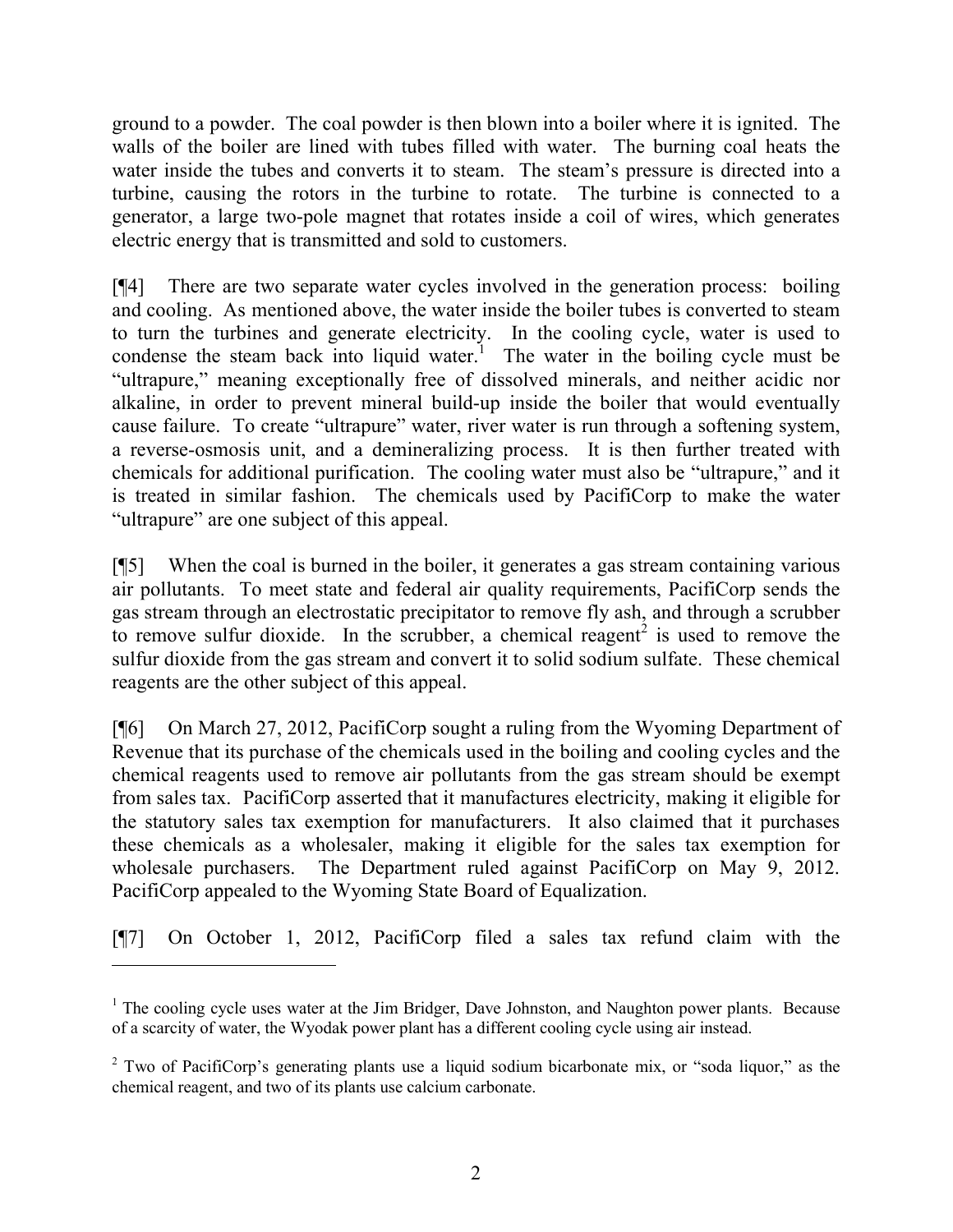ground to a powder. The coal powder is then blown into a boiler where it is ignited. The walls of the boiler are lined with tubes filled with water. The burning coal heats the water inside the tubes and converts it to steam. The steam's pressure is directed into a turbine, causing the rotors in the turbine to rotate. The turbine is connected to a generator, a large two-pole magnet that rotates inside a coil of wires, which generates electric energy that is transmitted and sold to customers.

[¶4] There are two separate water cycles involved in the generation process: boiling and cooling. As mentioned above, the water inside the boiler tubes is converted to steam to turn the turbines and generate electricity. In the cooling cycle, water is used to condense the steam back into liquid water.<sup>1</sup> The water in the boiling cycle must be "ultrapure," meaning exceptionally free of dissolved minerals, and neither acidic nor alkaline, in order to prevent mineral build-up inside the boiler that would eventually cause failure. To create "ultrapure" water, river water is run through a softening system, a reverse-osmosis unit, and a demineralizing process. It is then further treated with chemicals for additional purification. The cooling water must also be "ultrapure," and it is treated in similar fashion. The chemicals used by PacifiCorp to make the water "ultrapure" are one subject of this appeal.

[¶5] When the coal is burned in the boiler, it generates a gas stream containing various air pollutants. To meet state and federal air quality requirements, PacifiCorp sends the gas stream through an electrostatic precipitator to remove fly ash, and through a scrubber to remove sulfur dioxide. In the scrubber, a chemical reagent<sup>2</sup> is used to remove the sulfur dioxide from the gas stream and convert it to solid sodium sulfate. These chemical reagents are the other subject of this appeal.

[¶6] On March 27, 2012, PacifiCorp sought a ruling from the Wyoming Department of Revenue that its purchase of the chemicals used in the boiling and cooling cycles and the chemical reagents used to remove air pollutants from the gas stream should be exempt from sales tax. PacifiCorp asserted that it manufactures electricity, making it eligible for the statutory sales tax exemption for manufacturers. It also claimed that it purchases these chemicals as a wholesaler, making it eligible for the sales tax exemption for wholesale purchasers. The Department ruled against PacifiCorp on May 9, 2012. PacifiCorp appealed to the Wyoming State Board of Equalization.

[¶7] On October 1, 2012, PacifiCorp filed a sales tax refund claim with the

 $1$  The cooling cycle uses water at the Jim Bridger, Dave Johnston, and Naughton power plants. Because of a scarcity of water, the Wyodak power plant has a different cooling cycle using air instead.

 $2$  Two of PacifiCorp's generating plants use a liquid sodium bicarbonate mix, or "soda liquor," as the chemical reagent, and two of its plants use calcium carbonate.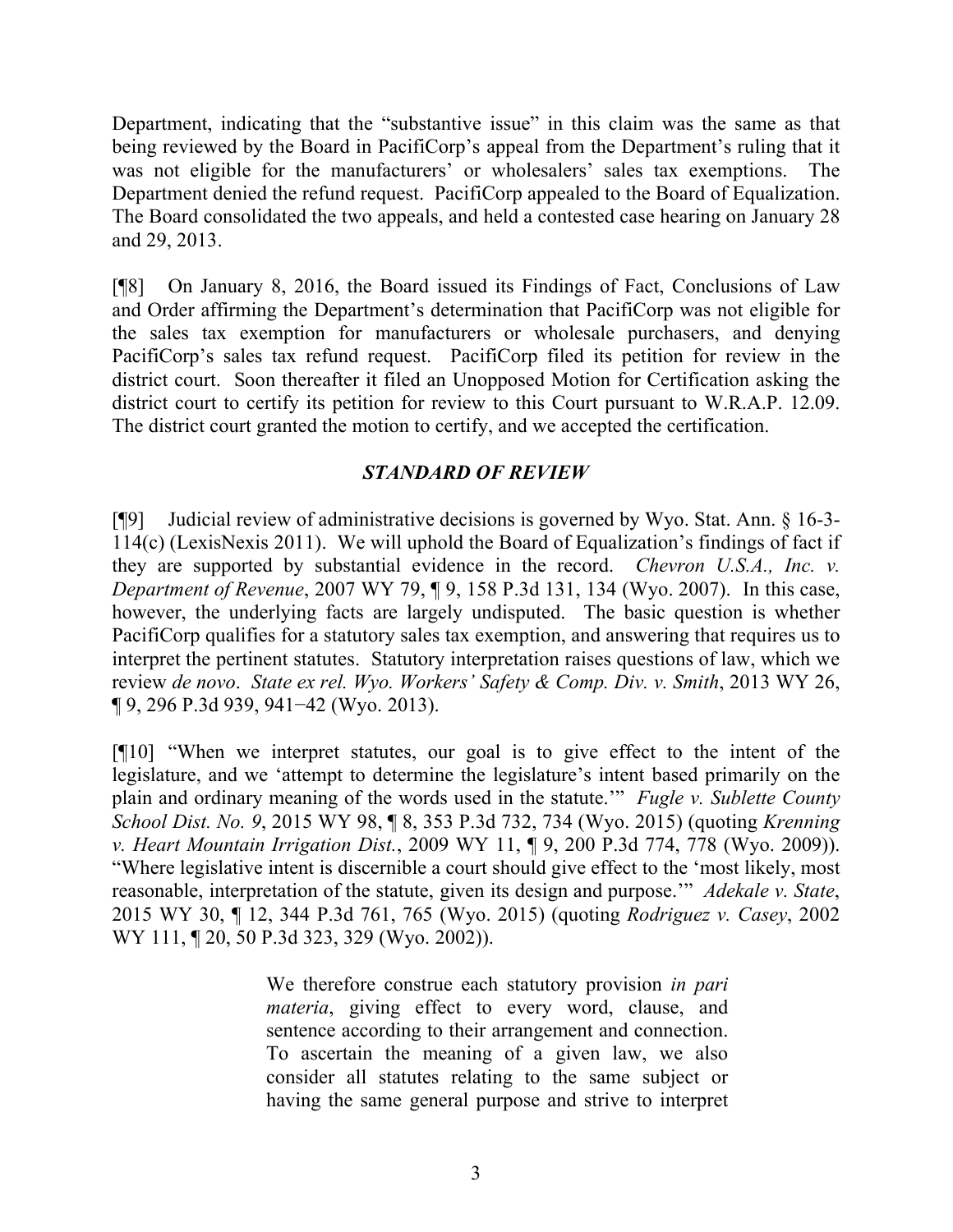Department, indicating that the "substantive issue" in this claim was the same as that being reviewed by the Board in PacifiCorp's appeal from the Department's ruling that it was not eligible for the manufacturers' or wholesalers' sales tax exemptions. The Department denied the refund request. PacifiCorp appealed to the Board of Equalization. The Board consolidated the two appeals, and held a contested case hearing on January 28 and 29, 2013.

[¶8] On January 8, 2016, the Board issued its Findings of Fact, Conclusions of Law and Order affirming the Department's determination that PacifiCorp was not eligible for the sales tax exemption for manufacturers or wholesale purchasers, and denying PacifiCorp's sales tax refund request. PacifiCorp filed its petition for review in the district court. Soon thereafter it filed an Unopposed Motion for Certification asking the district court to certify its petition for review to this Court pursuant to W.R.A.P. 12.09. The district court granted the motion to certify, and we accepted the certification.

# *STANDARD OF REVIEW*

[¶9] Judicial review of administrative decisions is governed by Wyo. Stat. Ann. § 16-3- 114(c) (LexisNexis 2011). We will uphold the Board of Equalization's findings of fact if they are supported by substantial evidence in the record. *Chevron U.S.A., Inc. v. Department of Revenue*, 2007 WY 79, ¶ 9, 158 P.3d 131, 134 (Wyo. 2007). In this case, however, the underlying facts are largely undisputed. The basic question is whether PacifiCorp qualifies for a statutory sales tax exemption, and answering that requires us to interpret the pertinent statutes. Statutory interpretation raises questions of law, which we review *de novo*. *State ex rel. Wyo. Workers' Safety & Comp. Div. v. Smith*, 2013 WY 26, ¶ 9, 296 P.3d 939, 941−42 (Wyo. 2013).

[¶10] "When we interpret statutes, our goal is to give effect to the intent of the legislature, and we 'attempt to determine the legislature's intent based primarily on the plain and ordinary meaning of the words used in the statute.'" *Fugle v. Sublette County School Dist. No. 9*, 2015 WY 98, ¶ 8, 353 P.3d 732, 734 (Wyo. 2015) (quoting *Krenning v. Heart Mountain Irrigation Dist.*, 2009 WY 11, ¶ 9, 200 P.3d 774, 778 (Wyo. 2009)). "Where legislative intent is discernible a court should give effect to the 'most likely, most reasonable, interpretation of the statute, given its design and purpose.'" *Adekale v. State*, 2015 WY 30, ¶ 12, 344 P.3d 761, 765 (Wyo. 2015) (quoting *Rodriguez v. Casey*, 2002 WY 111, ¶ 20, 50 P.3d 323, 329 (Wyo. 2002)).

> We therefore construe each statutory provision *in pari materia*, giving effect to every word, clause, and sentence according to their arrangement and connection. To ascertain the meaning of a given law, we also consider all statutes relating to the same subject or having the same general purpose and strive to interpret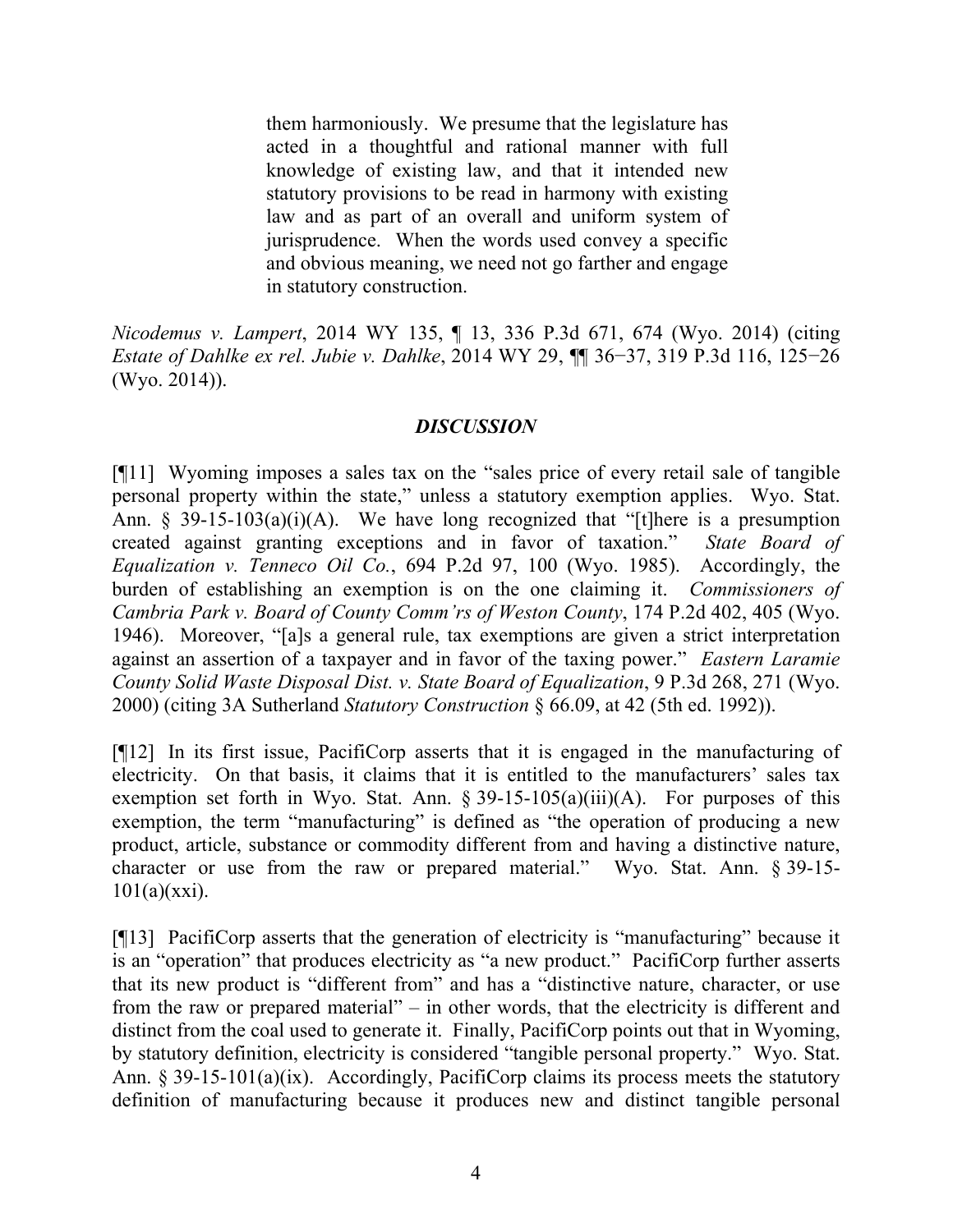them harmoniously. We presume that the legislature has acted in a thoughtful and rational manner with full knowledge of existing law, and that it intended new statutory provisions to be read in harmony with existing law and as part of an overall and uniform system of jurisprudence. When the words used convey a specific and obvious meaning, we need not go farther and engage in statutory construction.

*Nicodemus v. Lampert*, 2014 WY 135, ¶ 13, 336 P.3d 671, 674 (Wyo. 2014) (citing *Estate of Dahlke ex rel. Jubie v. Dahlke*, 2014 WY 29, ¶¶ 36−37, 319 P.3d 116, 125−26 (Wyo. 2014)).

# *DISCUSSION*

[¶11] Wyoming imposes a sales tax on the "sales price of every retail sale of tangible personal property within the state," unless a statutory exemption applies. Wyo. Stat. Ann.  $\S$  39-15-103(a)(i)(A). We have long recognized that "[t]here is a presumption created against granting exceptions and in favor of taxation." *State Board of Equalization v. Tenneco Oil Co.*, 694 P.2d 97, 100 (Wyo. 1985). Accordingly, the burden of establishing an exemption is on the one claiming it. *Commissioners of Cambria Park v. Board of County Comm'rs of Weston County*, 174 P.2d 402, 405 (Wyo. 1946). Moreover, "[a]s a general rule, tax exemptions are given a strict interpretation against an assertion of a taxpayer and in favor of the taxing power." *Eastern Laramie County Solid Waste Disposal Dist. v. State Board of Equalization*, 9 P.3d 268, 271 (Wyo. 2000) (citing 3A Sutherland *Statutory Construction* § 66.09, at 42 (5th ed. 1992)).

[¶12] In its first issue, PacifiCorp asserts that it is engaged in the manufacturing of electricity. On that basis, it claims that it is entitled to the manufacturers' sales tax exemption set forth in Wyo. Stat. Ann.  $\S 39-15-105(a)(iii)(A)$ . For purposes of this exemption, the term "manufacturing" is defined as "the operation of producing a new product, article, substance or commodity different from and having a distinctive nature, character or use from the raw or prepared material." Wyo. Stat. Ann. § 39-15-  $101(a)(xxi)$ .

[¶13] PacifiCorp asserts that the generation of electricity is "manufacturing" because it is an "operation" that produces electricity as "a new product." PacifiCorp further asserts that its new product is "different from" and has a "distinctive nature, character, or use from the raw or prepared material" – in other words, that the electricity is different and distinct from the coal used to generate it. Finally, PacifiCorp points out that in Wyoming, by statutory definition, electricity is considered "tangible personal property." Wyo. Stat. Ann. § 39-15-101(a)(ix). Accordingly, PacifiCorp claims its process meets the statutory definition of manufacturing because it produces new and distinct tangible personal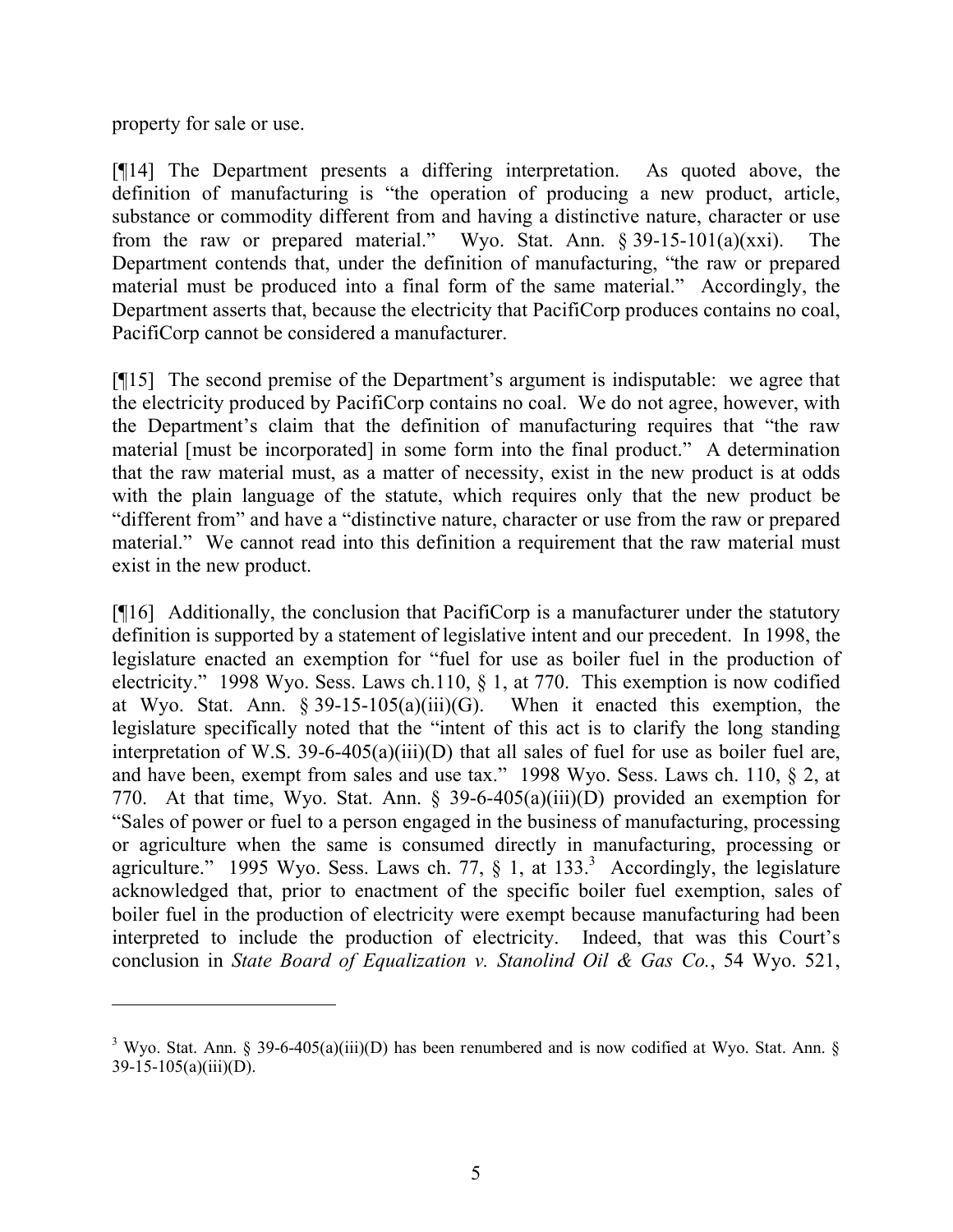property for sale or use.

 $\overline{a}$ 

[¶14] The Department presents a differing interpretation. As quoted above, the definition of manufacturing is "the operation of producing a new product, article, substance or commodity different from and having a distinctive nature, character or use from the raw or prepared material." Wyo. Stat. Ann.  $\S 39-15-101(a)(xxi)$ . The Department contends that, under the definition of manufacturing, "the raw or prepared material must be produced into a final form of the same material." Accordingly, the Department asserts that, because the electricity that PacifiCorp produces contains no coal, PacifiCorp cannot be considered a manufacturer.

[¶15] The second premise of the Department's argument is indisputable: we agree that the electricity produced by PacifiCorp contains no coal. We do not agree, however, with the Department's claim that the definition of manufacturing requires that "the raw material [must be incorporated] in some form into the final product." A determination that the raw material must, as a matter of necessity, exist in the new product is at odds with the plain language of the statute, which requires only that the new product be "different from" and have a "distinctive nature, character or use from the raw or prepared material." We cannot read into this definition a requirement that the raw material must exist in the new product.

[¶16] Additionally, the conclusion that PacifiCorp is a manufacturer under the statutory definition is supported by a statement of legislative intent and our precedent. In 1998, the legislature enacted an exemption for "fuel for use as boiler fuel in the production of electricity." 1998 Wyo. Sess. Laws ch.110, § 1, at 770. This exemption is now codified at Wyo. Stat. Ann.  $\S 39-15-105(a)(iii)(G)$ . When it enacted this exemption, the legislature specifically noted that the "intent of this act is to clarify the long standing interpretation of W.S. 39-6-405(a)(iii)(D) that all sales of fuel for use as boiler fuel are, and have been, exempt from sales and use tax." 1998 Wyo. Sess. Laws ch. 110, § 2, at 770. At that time, Wyo. Stat. Ann. § 39-6-405(a)(iii)(D) provided an exemption for "Sales of power or fuel to a person engaged in the business of manufacturing, processing or agriculture when the same is consumed directly in manufacturing, processing or agriculture." 1995 Wyo. Sess. Laws ch. 77,  $\S$  1, at 133.<sup>3</sup> Accordingly, the legislature acknowledged that, prior to enactment of the specific boiler fuel exemption, sales of boiler fuel in the production of electricity were exempt because manufacturing had been interpreted to include the production of electricity. Indeed, that was this Court's conclusion in *State Board of Equalization v. Stanolind Oil & Gas Co.*, 54 Wyo. 521,

<sup>&</sup>lt;sup>3</sup> Wyo. Stat. Ann. § 39-6-405(a)(iii)(D) has been renumbered and is now codified at Wyo. Stat. Ann. §  $39-15-105(a)(iii)(D)$ .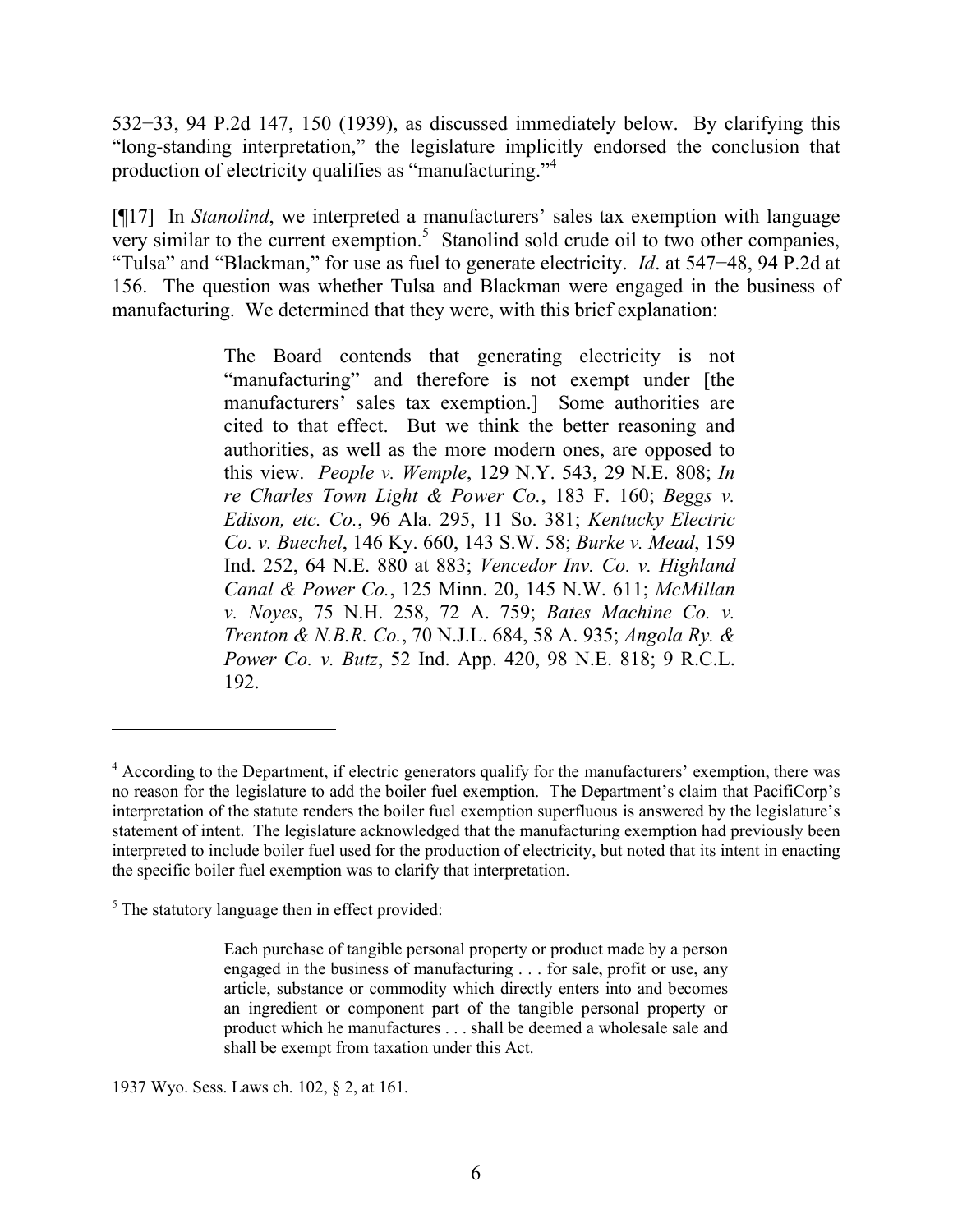532−33, 94 P.2d 147, 150 (1939), as discussed immediately below. By clarifying this "long-standing interpretation," the legislature implicitly endorsed the conclusion that production of electricity qualifies as "manufacturing."<sup>4</sup>

[¶17] In *Stanolind*, we interpreted a manufacturers' sales tax exemption with language  $\frac{1}{2}$  very similar to the current exemption.<sup>5</sup> Stanolind sold crude oil to two other companies, "Tulsa" and "Blackman," for use as fuel to generate electricity. *Id*. at 547−48, 94 P.2d at 156. The question was whether Tulsa and Blackman were engaged in the business of manufacturing. We determined that they were, with this brief explanation:

> The Board contends that generating electricity is not "manufacturing" and therefore is not exempt under [the manufacturers' sales tax exemption.] Some authorities are cited to that effect. But we think the better reasoning and authorities, as well as the more modern ones, are opposed to this view. *People v. Wemple*, 129 N.Y. 543, 29 N.E. 808; *In re Charles Town Light & Power Co.*, 183 F. 160; *Beggs v. Edison, etc. Co.*, 96 Ala. 295, 11 So. 381; *Kentucky Electric Co. v. Buechel*, 146 Ky. 660, 143 S.W. 58; *Burke v. Mead*, 159 Ind. 252, 64 N.E. 880 at 883; *Vencedor Inv. Co. v. Highland Canal & Power Co.*, 125 Minn. 20, 145 N.W. 611; *McMillan v. Noyes*, 75 N.H. 258, 72 A. 759; *Bates Machine Co. v. Trenton & N.B.R. Co.*, 70 N.J.L. 684, 58 A. 935; *Angola Ry. & Power Co. v. Butz*, 52 Ind. App. 420, 98 N.E. 818; 9 R.C.L. 192.

 $\overline{a}$ 

1937 Wyo. Sess. Laws ch. 102, § 2, at 161.

<sup>&</sup>lt;sup>4</sup> According to the Department, if electric generators qualify for the manufacturers' exemption, there was no reason for the legislature to add the boiler fuel exemption. The Department's claim that PacifiCorp's interpretation of the statute renders the boiler fuel exemption superfluous is answered by the legislature's statement of intent. The legislature acknowledged that the manufacturing exemption had previously been interpreted to include boiler fuel used for the production of electricity, but noted that its intent in enacting the specific boiler fuel exemption was to clarify that interpretation.

 $<sup>5</sup>$  The statutory language then in effect provided:</sup>

Each purchase of tangible personal property or product made by a person engaged in the business of manufacturing . . . for sale, profit or use, any article, substance or commodity which directly enters into and becomes an ingredient or component part of the tangible personal property or product which he manufactures . . . shall be deemed a wholesale sale and shall be exempt from taxation under this Act.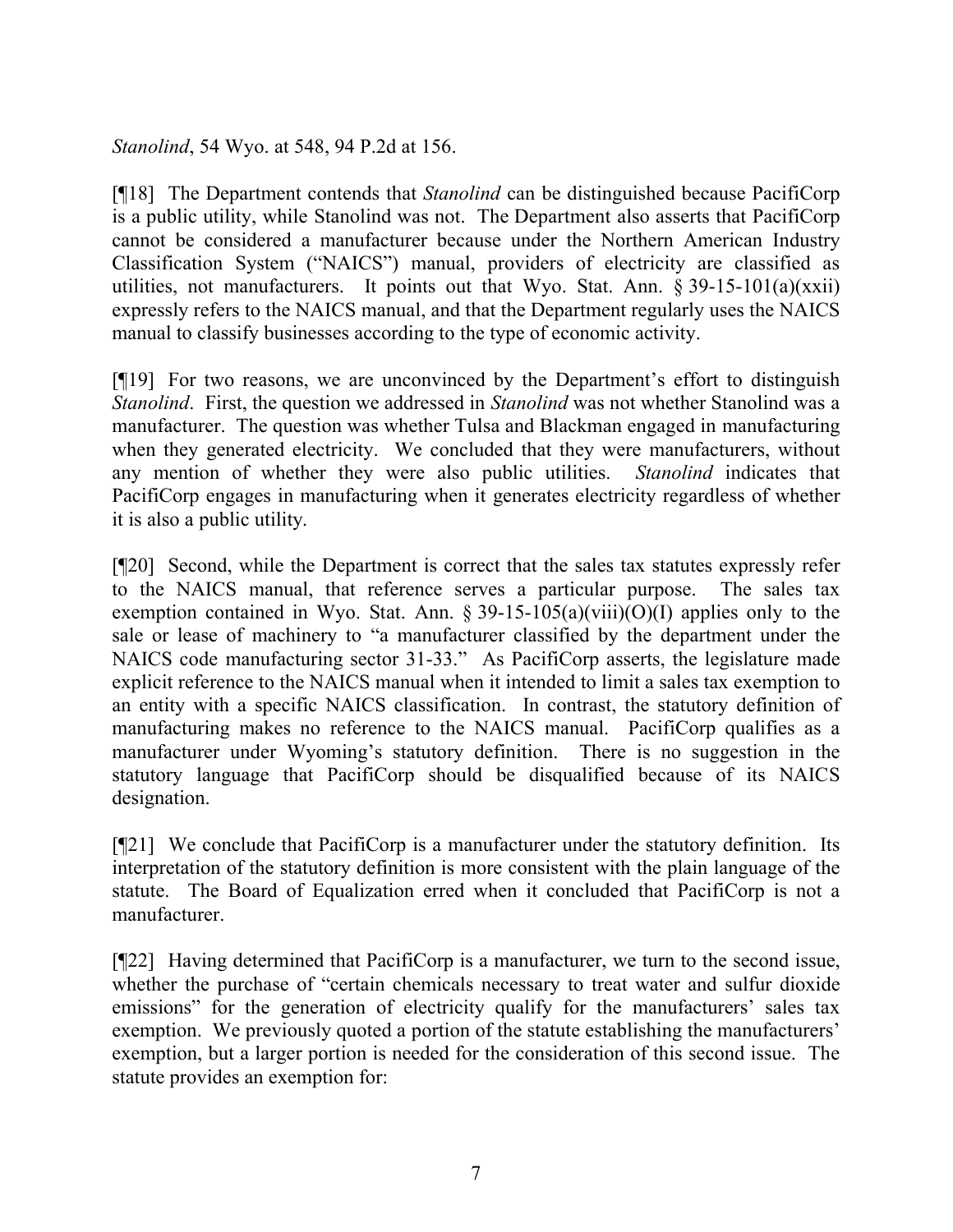*Stanolind*, 54 Wyo. at 548, 94 P.2d at 156.

[¶18] The Department contends that *Stanolind* can be distinguished because PacifiCorp is a public utility, while Stanolind was not. The Department also asserts that PacifiCorp cannot be considered a manufacturer because under the Northern American Industry Classification System ("NAICS") manual, providers of electricity are classified as utilities, not manufacturers. It points out that Wyo. Stat. Ann. § 39-15-101(a)(xxii) expressly refers to the NAICS manual, and that the Department regularly uses the NAICS manual to classify businesses according to the type of economic activity.

[¶19] For two reasons, we are unconvinced by the Department's effort to distinguish *Stanolind*. First, the question we addressed in *Stanolind* was not whether Stanolind was a manufacturer. The question was whether Tulsa and Blackman engaged in manufacturing when they generated electricity. We concluded that they were manufacturers, without any mention of whether they were also public utilities. *Stanolind* indicates that PacifiCorp engages in manufacturing when it generates electricity regardless of whether it is also a public utility.

[¶20] Second, while the Department is correct that the sales tax statutes expressly refer to the NAICS manual, that reference serves a particular purpose. The sales tax exemption contained in Wyo. Stat. Ann. § 39-15-105(a)(viii)(O)(I) applies only to the sale or lease of machinery to "a manufacturer classified by the department under the NAICS code manufacturing sector 31-33." As PacifiCorp asserts, the legislature made explicit reference to the NAICS manual when it intended to limit a sales tax exemption to an entity with a specific NAICS classification. In contrast, the statutory definition of manufacturing makes no reference to the NAICS manual. PacifiCorp qualifies as a manufacturer under Wyoming's statutory definition. There is no suggestion in the statutory language that PacifiCorp should be disqualified because of its NAICS designation.

[¶21] We conclude that PacifiCorp is a manufacturer under the statutory definition. Its interpretation of the statutory definition is more consistent with the plain language of the statute. The Board of Equalization erred when it concluded that PacifiCorp is not a manufacturer.

[¶22] Having determined that PacifiCorp is a manufacturer, we turn to the second issue, whether the purchase of "certain chemicals necessary to treat water and sulfur dioxide emissions" for the generation of electricity qualify for the manufacturers' sales tax exemption. We previously quoted a portion of the statute establishing the manufacturers' exemption, but a larger portion is needed for the consideration of this second issue. The statute provides an exemption for: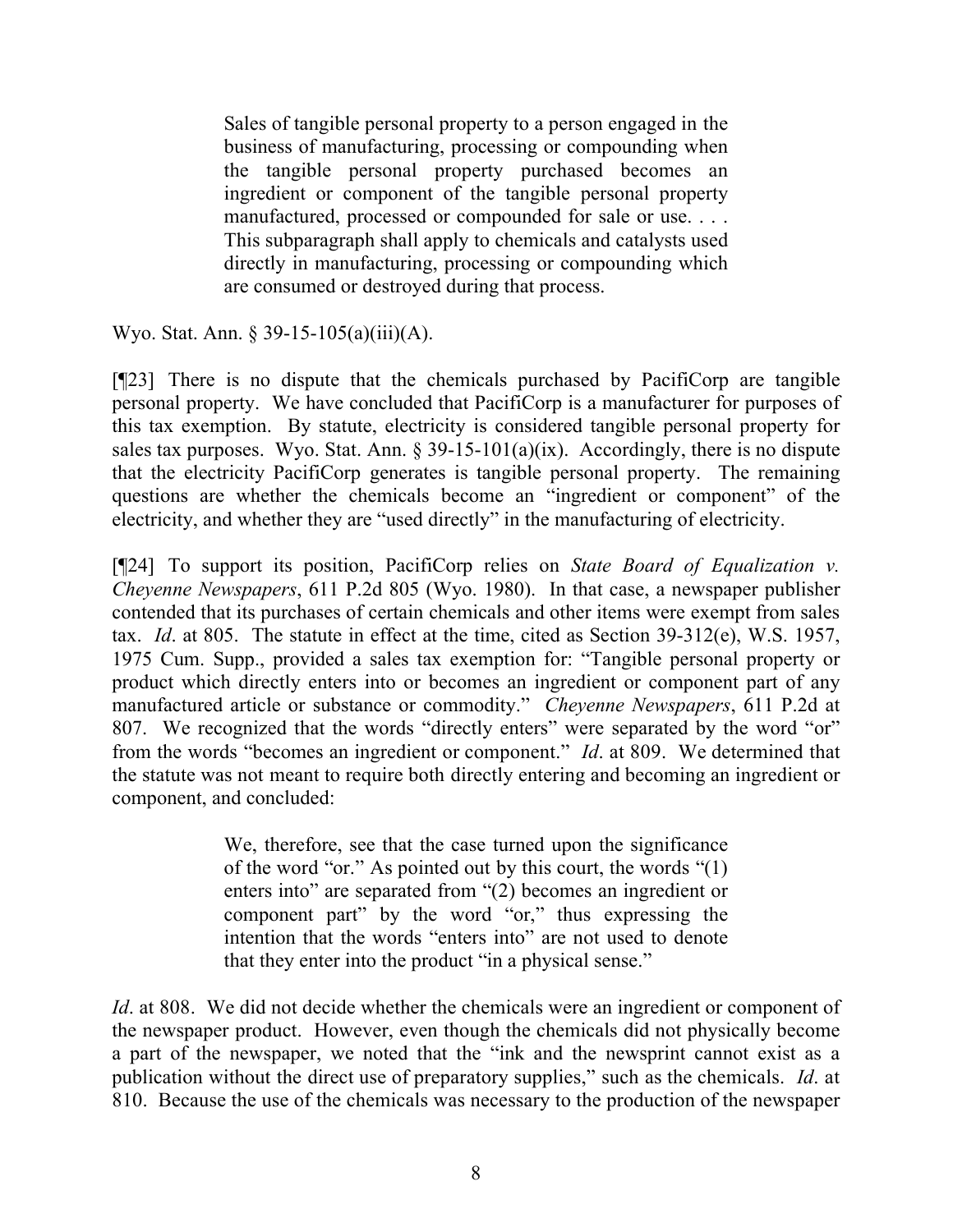Sales of tangible personal property to a person engaged in the business of manufacturing, processing or compounding when the tangible personal property purchased becomes an ingredient or component of the tangible personal property manufactured, processed or compounded for sale or use. . . . This subparagraph shall apply to chemicals and catalysts used directly in manufacturing, processing or compounding which are consumed or destroyed during that process.

Wyo. Stat. Ann. § 39-15-105(a)(iii)(A).

[¶23] There is no dispute that the chemicals purchased by PacifiCorp are tangible personal property. We have concluded that PacifiCorp is a manufacturer for purposes of this tax exemption. By statute, electricity is considered tangible personal property for sales tax purposes. Wyo. Stat. Ann.  $\S 39-15-101(a)(ix)$ . Accordingly, there is no dispute that the electricity PacifiCorp generates is tangible personal property. The remaining questions are whether the chemicals become an "ingredient or component" of the electricity, and whether they are "used directly" in the manufacturing of electricity.

[¶24] To support its position, PacifiCorp relies on *State Board of Equalization v. Cheyenne Newspapers*, 611 P.2d 805 (Wyo. 1980). In that case, a newspaper publisher contended that its purchases of certain chemicals and other items were exempt from sales tax. *Id*. at 805. The statute in effect at the time, cited as Section 39-312(e), W.S. 1957, 1975 Cum. Supp., provided a sales tax exemption for: "Tangible personal property or product which directly enters into or becomes an ingredient or component part of any manufactured article or substance or commodity." *Cheyenne Newspapers*, 611 P.2d at 807. We recognized that the words "directly enters" were separated by the word "or" from the words "becomes an ingredient or component." *Id*. at 809. We determined that the statute was not meant to require both directly entering and becoming an ingredient or component, and concluded:

> We, therefore, see that the case turned upon the significance of the word "or." As pointed out by this court, the words "(1) enters into" are separated from "(2) becomes an ingredient or component part" by the word "or," thus expressing the intention that the words "enters into" are not used to denote that they enter into the product "in a physical sense."

*Id*. at 808. We did not decide whether the chemicals were an ingredient or component of the newspaper product. However, even though the chemicals did not physically become a part of the newspaper, we noted that the "ink and the newsprint cannot exist as a publication without the direct use of preparatory supplies," such as the chemicals. *Id*. at 810. Because the use of the chemicals was necessary to the production of the newspaper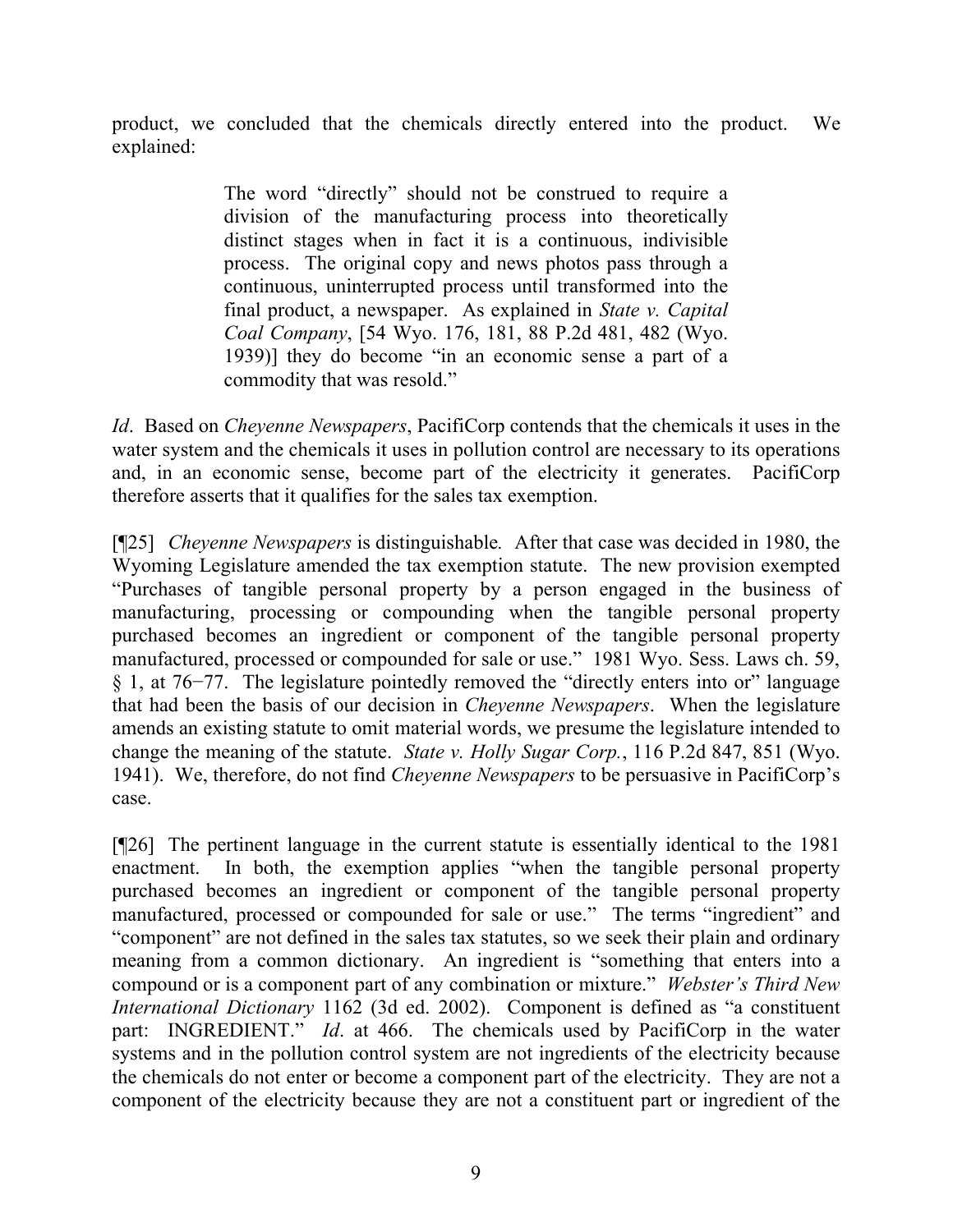product, we concluded that the chemicals directly entered into the product. We explained:

> The word "directly" should not be construed to require a division of the manufacturing process into theoretically distinct stages when in fact it is a continuous, indivisible process. The original copy and news photos pass through a continuous, uninterrupted process until transformed into the final product, a newspaper. As explained in *State v. Capital Coal Company*, [54 Wyo. 176, 181, 88 P.2d 481, 482 (Wyo. 1939)] they do become "in an economic sense a part of a commodity that was resold."

*Id*. Based on *Cheyenne Newspapers*, PacifiCorp contends that the chemicals it uses in the water system and the chemicals it uses in pollution control are necessary to its operations and, in an economic sense, become part of the electricity it generates. PacifiCorp therefore asserts that it qualifies for the sales tax exemption.

[¶25] *Cheyenne Newspapers* is distinguishable*.* After that case was decided in 1980, the Wyoming Legislature amended the tax exemption statute. The new provision exempted "Purchases of tangible personal property by a person engaged in the business of manufacturing, processing or compounding when the tangible personal property purchased becomes an ingredient or component of the tangible personal property manufactured, processed or compounded for sale or use." 1981 Wyo. Sess. Laws ch. 59, § 1, at 76−77. The legislature pointedly removed the "directly enters into or" language that had been the basis of our decision in *Cheyenne Newspapers*. When the legislature amends an existing statute to omit material words, we presume the legislature intended to change the meaning of the statute. *State v. Holly Sugar Corp.*, 116 P.2d 847, 851 (Wyo. 1941). We, therefore, do not find *Cheyenne Newspapers* to be persuasive in PacifiCorp's case.

[¶26] The pertinent language in the current statute is essentially identical to the 1981 enactment. In both, the exemption applies "when the tangible personal property purchased becomes an ingredient or component of the tangible personal property manufactured, processed or compounded for sale or use." The terms "ingredient" and "component" are not defined in the sales tax statutes, so we seek their plain and ordinary meaning from a common dictionary. An ingredient is "something that enters into a compound or is a component part of any combination or mixture." *Webster's Third New International Dictionary* 1162 (3d ed. 2002). Component is defined as "a constituent part: INGREDIENT." *Id.* at 466. The chemicals used by PacifiCorp in the water systems and in the pollution control system are not ingredients of the electricity because the chemicals do not enter or become a component part of the electricity. They are not a component of the electricity because they are not a constituent part or ingredient of the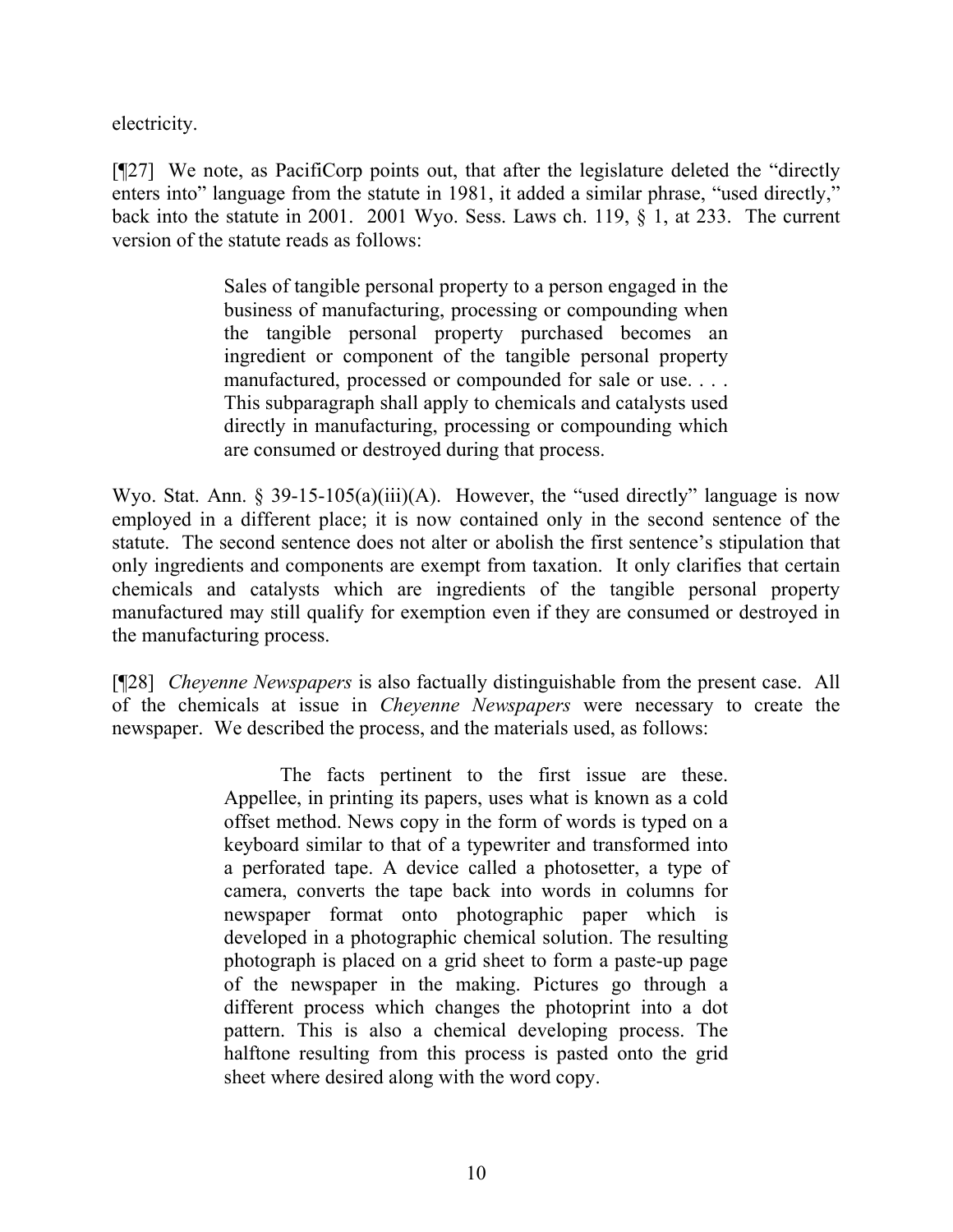electricity.

[¶27] We note, as PacifiCorp points out, that after the legislature deleted the "directly enters into" language from the statute in 1981, it added a similar phrase, "used directly," back into the statute in 2001. 2001 Wyo. Sess. Laws ch. 119, § 1, at 233. The current version of the statute reads as follows:

> Sales of tangible personal property to a person engaged in the business of manufacturing, processing or compounding when the tangible personal property purchased becomes an ingredient or component of the tangible personal property manufactured, processed or compounded for sale or use. . . . This subparagraph shall apply to chemicals and catalysts used directly in manufacturing, processing or compounding which are consumed or destroyed during that process.

Wyo. Stat. Ann. § 39-15-105(a)(iii)(A). However, the "used directly" language is now employed in a different place; it is now contained only in the second sentence of the statute. The second sentence does not alter or abolish the first sentence's stipulation that only ingredients and components are exempt from taxation. It only clarifies that certain chemicals and catalysts which are ingredients of the tangible personal property manufactured may still qualify for exemption even if they are consumed or destroyed in the manufacturing process.

[¶28] *Cheyenne Newspapers* is also factually distinguishable from the present case. All of the chemicals at issue in *Cheyenne Newspapers* were necessary to create the newspaper. We described the process, and the materials used, as follows:

> The facts pertinent to the first issue are these. Appellee, in printing its papers, uses what is known as a cold offset method. News copy in the form of words is typed on a keyboard similar to that of a typewriter and transformed into a perforated tape. A device called a photosetter, a type of camera, converts the tape back into words in columns for newspaper format onto photographic paper which is developed in a photographic chemical solution. The resulting photograph is placed on a grid sheet to form a paste-up page of the newspaper in the making. Pictures go through a different process which changes the photoprint into a dot pattern. This is also a chemical developing process. The halftone resulting from this process is pasted onto the grid sheet where desired along with the word copy.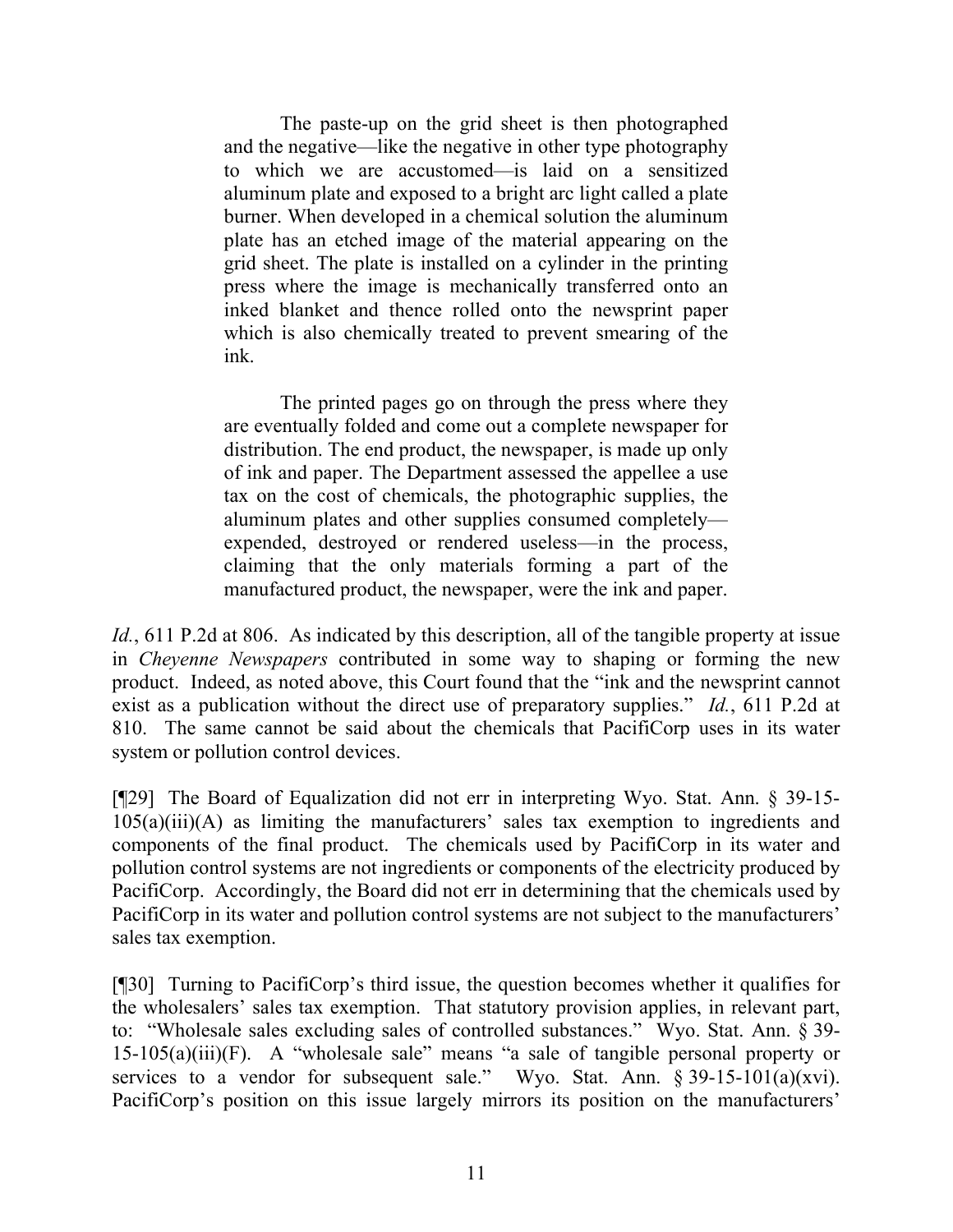The paste-up on the grid sheet is then photographed and the negative—like the negative in other type photography to which we are accustomed—is laid on a sensitized aluminum plate and exposed to a bright arc light called a plate burner. When developed in a chemical solution the aluminum plate has an etched image of the material appearing on the grid sheet. The plate is installed on a cylinder in the printing press where the image is mechanically transferred onto an inked blanket and thence rolled onto the newsprint paper which is also chemically treated to prevent smearing of the ink.

The printed pages go on through the press where they are eventually folded and come out a complete newspaper for distribution. The end product, the newspaper, is made up only of ink and paper. The Department assessed the appellee a use tax on the cost of chemicals, the photographic supplies, the aluminum plates and other supplies consumed completely expended, destroyed or rendered useless—in the process, claiming that the only materials forming a part of the manufactured product, the newspaper, were the ink and paper.

*Id.*, 611 P.2d at 806. As indicated by this description, all of the tangible property at issue in *Cheyenne Newspapers* contributed in some way to shaping or forming the new product. Indeed, as noted above, this Court found that the "ink and the newsprint cannot exist as a publication without the direct use of preparatory supplies." *Id.*, 611 P.2d at 810. The same cannot be said about the chemicals that PacifiCorp uses in its water system or pollution control devices.

[¶29] The Board of Equalization did not err in interpreting Wyo. Stat. Ann. § 39-15- 105(a)(iii)(A) as limiting the manufacturers' sales tax exemption to ingredients and components of the final product. The chemicals used by PacifiCorp in its water and pollution control systems are not ingredients or components of the electricity produced by PacifiCorp. Accordingly, the Board did not err in determining that the chemicals used by PacifiCorp in its water and pollution control systems are not subject to the manufacturers' sales tax exemption.

[¶30] Turning to PacifiCorp's third issue, the question becomes whether it qualifies for the wholesalers' sales tax exemption. That statutory provision applies, in relevant part, to: "Wholesale sales excluding sales of controlled substances." Wyo. Stat. Ann. § 39-  $15-105(a)(iii)(F)$ . A "wholesale sale" means "a sale of tangible personal property or services to a vendor for subsequent sale." Wyo. Stat. Ann.  $\S 39-15-101(a)(xvi)$ . PacifiCorp's position on this issue largely mirrors its position on the manufacturers'